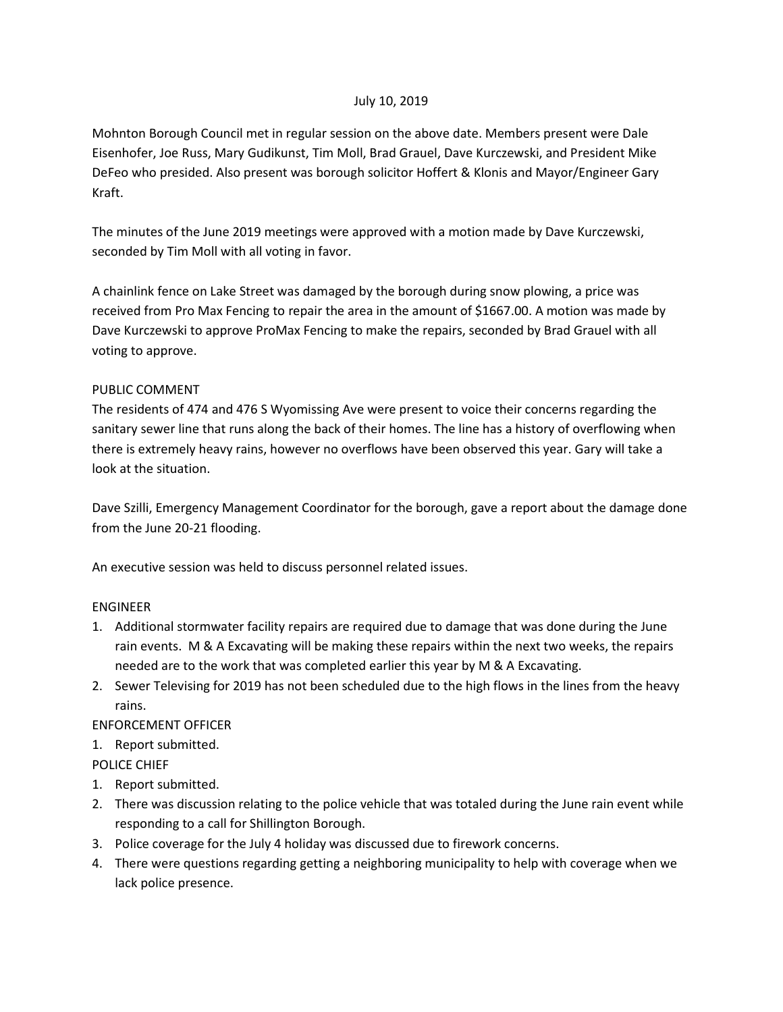#### July 10, 2019

Mohnton Borough Council met in regular session on the above date. Members present were Dale Eisenhofer, Joe Russ, Mary Gudikunst, Tim Moll, Brad Grauel, Dave Kurczewski, and President Mike DeFeo who presided. Also present was borough solicitor Hoffert & Klonis and Mayor/Engineer Gary Kraft.

The minutes of the June 2019 meetings were approved with a motion made by Dave Kurczewski, seconded by Tim Moll with all voting in favor.

A chainlink fence on Lake Street was damaged by the borough during snow plowing, a price was received from Pro Max Fencing to repair the area in the amount of \$1667.00. A motion was made by Dave Kurczewski to approve ProMax Fencing to make the repairs, seconded by Brad Grauel with all voting to approve.

## PUBLIC COMMENT

The residents of 474 and 476 S Wyomissing Ave were present to voice their concerns regarding the sanitary sewer line that runs along the back of their homes. The line has a history of overflowing when there is extremely heavy rains, however no overflows have been observed this year. Gary will take a look at the situation.

Dave Szilli, Emergency Management Coordinator for the borough, gave a report about the damage done from the June 20-21 flooding.

An executive session was held to discuss personnel related issues.

# ENGINEER

- 1. Additional stormwater facility repairs are required due to damage that was done during the June rain events. M & A Excavating will be making these repairs within the next two weeks, the repairs needed are to the work that was completed earlier this year by M & A Excavating.
- 2. Sewer Televising for 2019 has not been scheduled due to the high flows in the lines from the heavy rains.

# ENFORCEMENT OFFICER

1. Report submitted.

POLICE CHIEF

- 1. Report submitted.
- 2. There was discussion relating to the police vehicle that was totaled during the June rain event while responding to a call for Shillington Borough.
- 3. Police coverage for the July 4 holiday was discussed due to firework concerns.
- 4. There were questions regarding getting a neighboring municipality to help with coverage when we lack police presence.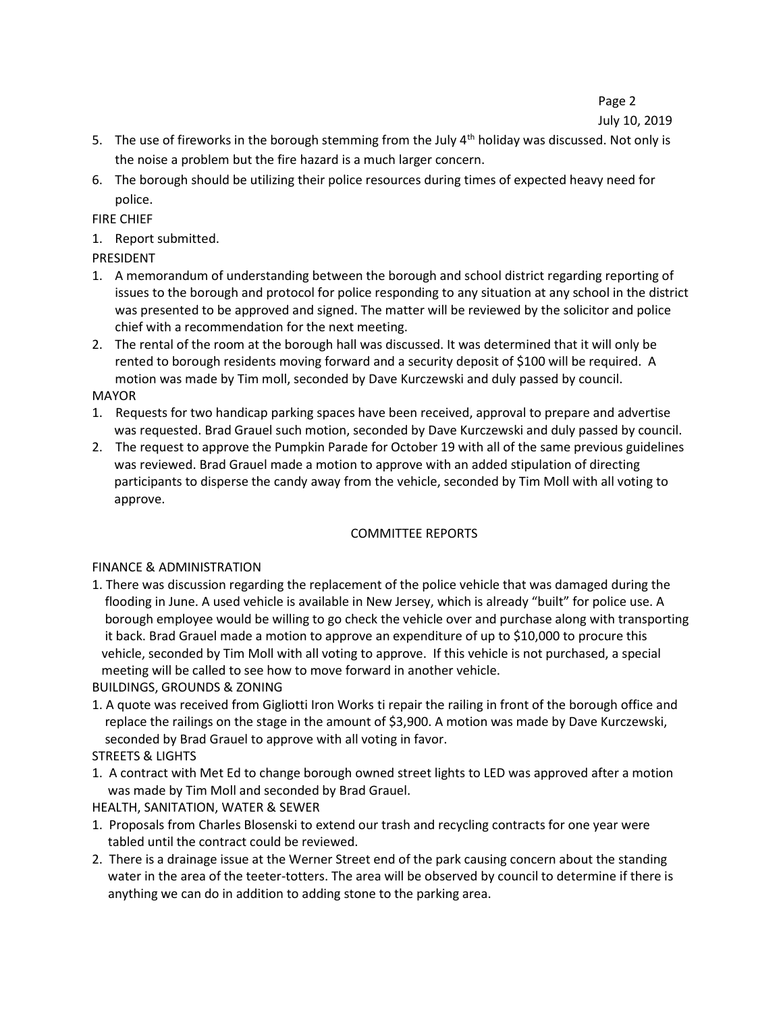Page 2

## July 10, 2019

- 5. The use of fireworks in the borough stemming from the July 4<sup>th</sup> holiday was discussed. Not only is the noise a problem but the fire hazard is a much larger concern.
- 6. The borough should be utilizing their police resources during times of expected heavy need for police.

FIRE CHIEF

1. Report submitted.

PRESIDENT

- 1. A memorandum of understanding between the borough and school district regarding reporting of issues to the borough and protocol for police responding to any situation at any school in the district was presented to be approved and signed. The matter will be reviewed by the solicitor and police chief with a recommendation for the next meeting.
- 2. The rental of the room at the borough hall was discussed. It was determined that it will only be rented to borough residents moving forward and a security deposit of \$100 will be required. A motion was made by Tim moll, seconded by Dave Kurczewski and duly passed by council. MAYOR
- 1. Requests for two handicap parking spaces have been received, approval to prepare and advertise was requested. Brad Grauel such motion, seconded by Dave Kurczewski and duly passed by council.
- 2. The request to approve the Pumpkin Parade for October 19 with all of the same previous guidelines was reviewed. Brad Grauel made a motion to approve with an added stipulation of directing participants to disperse the candy away from the vehicle, seconded by Tim Moll with all voting to approve.

# COMMITTEE REPORTS

# FINANCE & ADMINISTRATION

1. There was discussion regarding the replacement of the police vehicle that was damaged during the flooding in June. A used vehicle is available in New Jersey, which is already "built" for police use. A borough employee would be willing to go check the vehicle over and purchase along with transporting it back. Brad Grauel made a motion to approve an expenditure of up to \$10,000 to procure this vehicle, seconded by Tim Moll with all voting to approve. If this vehicle is not purchased, a special meeting will be called to see how to move forward in another vehicle.

BUILDINGS, GROUNDS & ZONING

- 1. A quote was received from Gigliotti Iron Works ti repair the railing in front of the borough office and replace the railings on the stage in the amount of \$3,900. A motion was made by Dave Kurczewski, seconded by Brad Grauel to approve with all voting in favor.
- STREETS & LIGHTS
- 1. A contract with Met Ed to change borough owned street lights to LED was approved after a motion was made by Tim Moll and seconded by Brad Grauel.

HEALTH, SANITATION, WATER & SEWER

- 1. Proposals from Charles Blosenski to extend our trash and recycling contracts for one year were tabled until the contract could be reviewed.
- 2. There is a drainage issue at the Werner Street end of the park causing concern about the standing water in the area of the teeter-totters. The area will be observed by council to determine if there is anything we can do in addition to adding stone to the parking area.